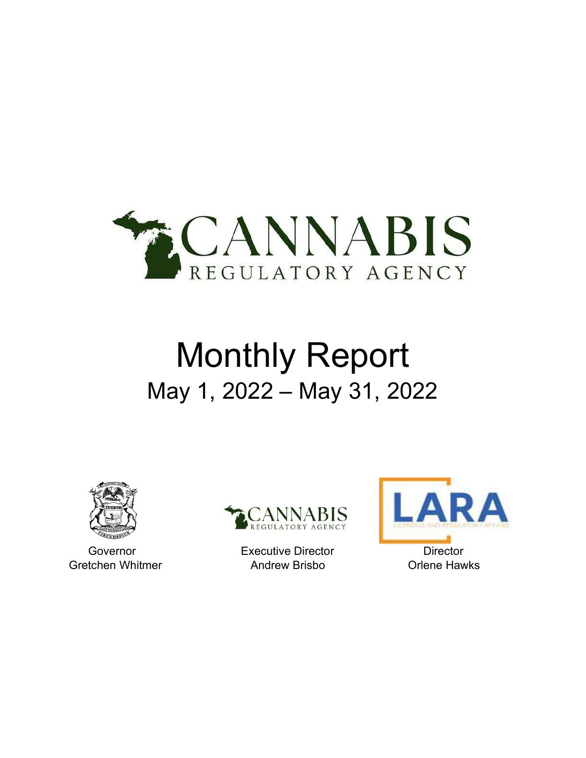

# Monthly Report May 1, 2022 – May 31, 2022





Governor **Executive Director** Director **Director** Gretchen Whitmer **Andrew Brisbo Critichen Whitmer** Andrew Brisbo **Criene Hawks** 

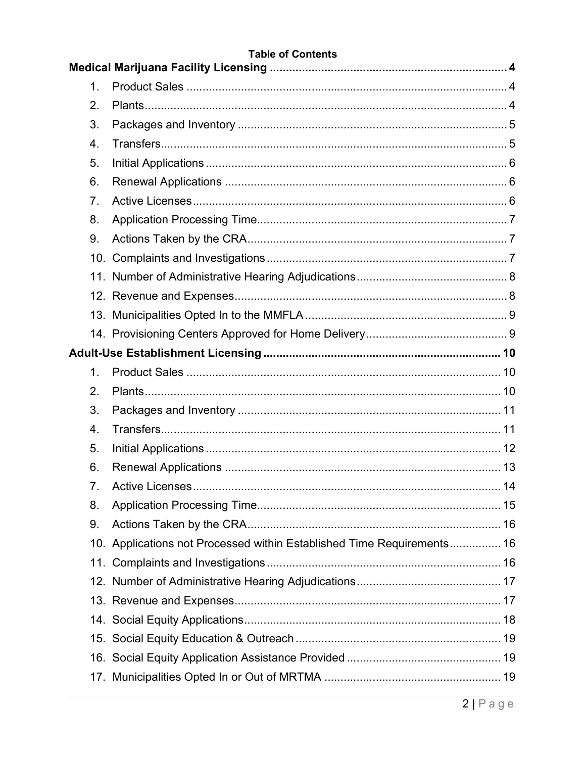| <b>Table of Contents</b> |                                                               |                                                                        |
|--------------------------|---------------------------------------------------------------|------------------------------------------------------------------------|
|                          |                                                               |                                                                        |
|                          |                                                               |                                                                        |
|                          |                                                               |                                                                        |
|                          |                                                               |                                                                        |
|                          |                                                               |                                                                        |
|                          |                                                               |                                                                        |
|                          |                                                               |                                                                        |
|                          |                                                               |                                                                        |
|                          |                                                               |                                                                        |
|                          |                                                               |                                                                        |
|                          |                                                               |                                                                        |
|                          |                                                               |                                                                        |
|                          |                                                               |                                                                        |
|                          |                                                               |                                                                        |
|                          |                                                               |                                                                        |
|                          |                                                               |                                                                        |
| $\mathbf 1$ .            |                                                               |                                                                        |
| 2.                       |                                                               |                                                                        |
| 3.                       |                                                               |                                                                        |
| 4.                       |                                                               |                                                                        |
| 5.                       |                                                               |                                                                        |
| 6.                       |                                                               |                                                                        |
| 7 <sub>1</sub>           |                                                               |                                                                        |
| 8.                       |                                                               |                                                                        |
| 9.                       |                                                               |                                                                        |
|                          |                                                               |                                                                        |
|                          |                                                               |                                                                        |
|                          |                                                               |                                                                        |
|                          |                                                               |                                                                        |
|                          |                                                               |                                                                        |
|                          |                                                               |                                                                        |
|                          |                                                               |                                                                        |
|                          |                                                               |                                                                        |
|                          | $\mathbf 1$ .<br>2.<br>3.<br>4.<br>5.<br>6.<br>7.<br>8.<br>9. | 10. Applications not Processed within Established Time Requirements 16 |

# $2|Page$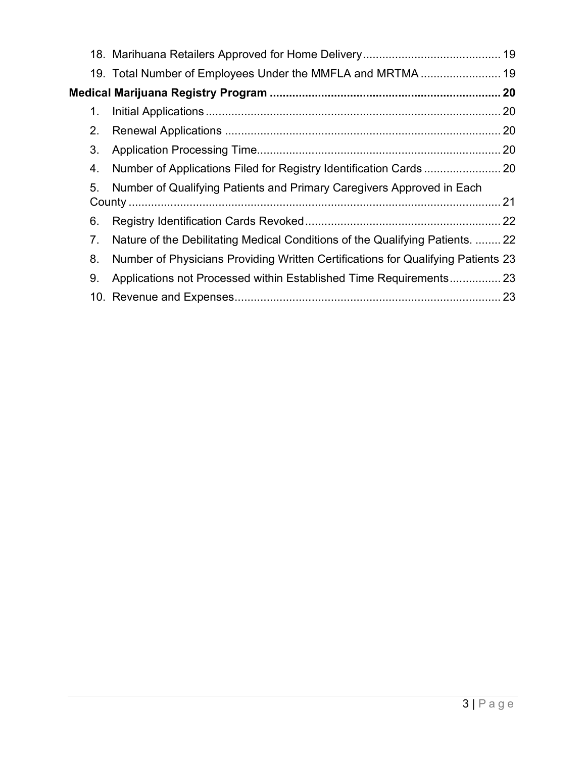|    | 19. Total Number of Employees Under the MMFLA and MRTMA  19                      |  |
|----|----------------------------------------------------------------------------------|--|
|    |                                                                                  |  |
| 1. |                                                                                  |  |
| 2. |                                                                                  |  |
| 3. |                                                                                  |  |
| 4. |                                                                                  |  |
| 5. | Number of Qualifying Patients and Primary Caregivers Approved in Each            |  |
| 6. |                                                                                  |  |
| 7. | Nature of the Debilitating Medical Conditions of the Qualifying Patients.  22    |  |
| 8. | Number of Physicians Providing Written Certifications for Qualifying Patients 23 |  |
| 9. | Applications not Processed within Established Time Requirements 23               |  |
|    |                                                                                  |  |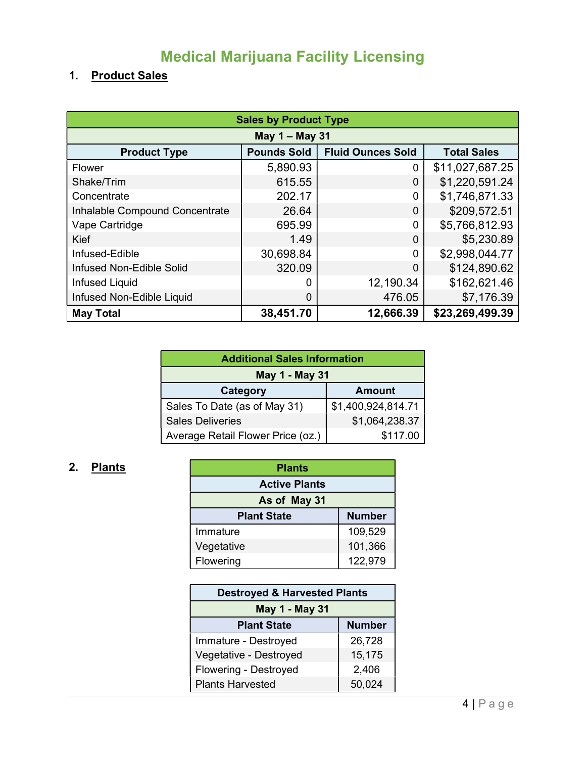# Medical Marijuana Facility Licensing

## 1. Product Sales

| <b>Sales by Product Type</b>   |                    |                          |                    |  |
|--------------------------------|--------------------|--------------------------|--------------------|--|
| May 1 - May 31                 |                    |                          |                    |  |
| <b>Product Type</b>            | <b>Pounds Sold</b> | <b>Fluid Ounces Sold</b> | <b>Total Sales</b> |  |
| Flower                         | 5,890.93           | 0                        | \$11,027,687.25    |  |
| Shake/Trim                     | 615.55             | 0                        | \$1,220,591.24     |  |
| Concentrate                    | 202.17             | $\overline{0}$           | \$1,746,871.33     |  |
| Inhalable Compound Concentrate | 26.64              | 0                        | \$209,572.51       |  |
| Vape Cartridge                 | 695.99             | $\mathbf{0}$             | \$5,766,812.93     |  |
| Kief                           | 1.49               | 0                        | \$5,230.89         |  |
| Infused-Edible                 | 30,698.84          | $\Omega$                 | \$2,998,044.77     |  |
| Infused Non-Edible Solid       | 320.09             | 0                        | \$124,890.62       |  |
| <b>Infused Liquid</b>          | 0                  | 12,190.34                | \$162,621.46       |  |
| Infused Non-Edible Liquid      | 0                  | 476.05                   | \$7,176.39         |  |
| <b>May Total</b>               | 38,451.70          | 12,666.39                | \$23,269,499.39    |  |

| <b>Additional Sales Information</b>       |                    |  |
|-------------------------------------------|--------------------|--|
| May 1 - May 31                            |                    |  |
| <b>Amount</b><br>Category                 |                    |  |
| Sales To Date (as of May 31)              | \$1,400,924,814.71 |  |
| \$1,064,238.37<br><b>Sales Deliveries</b> |                    |  |
| Average Retail Flower Price (oz.)         | \$117.00           |  |

## 2. Plants

| <b>Plants</b>                       |         |  |
|-------------------------------------|---------|--|
| <b>Active Plants</b>                |         |  |
| As of May 31                        |         |  |
| <b>Number</b><br><b>Plant State</b> |         |  |
| Immature                            | 109,529 |  |
| 101,366<br>Vegetative               |         |  |
| Flowering                           | 122,979 |  |

| <b>Destroyed &amp; Harvested Plants</b> |        |  |
|-----------------------------------------|--------|--|
| May 1 - May 31                          |        |  |
| <b>Number</b><br><b>Plant State</b>     |        |  |
| Immature - Destroyed                    | 26,728 |  |
| 15,175<br>Vegetative - Destroyed        |        |  |
| Flowering - Destroyed<br>2,406          |        |  |
| <b>Plants Harvested</b>                 | 50,024 |  |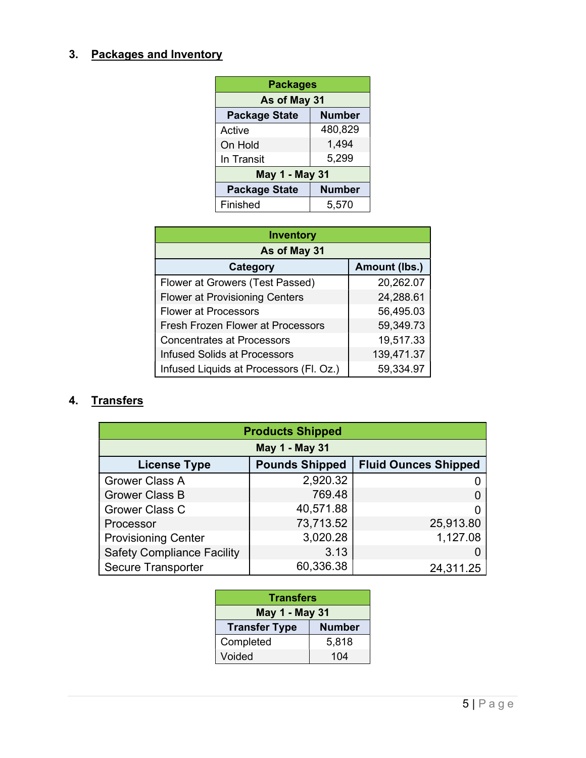#### 3. Packages and Inventory

| <b>Packages</b>                       |         |  |  |
|---------------------------------------|---------|--|--|
| As of May 31                          |         |  |  |
| <b>Package State</b><br>Number        |         |  |  |
| Active                                | 480,829 |  |  |
| On Hold                               | 1,494   |  |  |
| In Transit                            | 5,299   |  |  |
| May 1 - May 31                        |         |  |  |
| <b>Package State</b><br><b>Number</b> |         |  |  |
| Finished                              | 5,570   |  |  |

| <b>Inventory</b>                        |               |  |  |
|-----------------------------------------|---------------|--|--|
| As of May 31                            |               |  |  |
| Category                                | Amount (lbs.) |  |  |
| Flower at Growers (Test Passed)         | 20,262.07     |  |  |
| <b>Flower at Provisioning Centers</b>   | 24,288.61     |  |  |
| <b>Flower at Processors</b>             | 56,495.03     |  |  |
| Fresh Frozen Flower at Processors       | 59,349.73     |  |  |
| <b>Concentrates at Processors</b>       | 19,517.33     |  |  |
| <b>Infused Solids at Processors</b>     | 139,471.37    |  |  |
| Infused Liquids at Processors (Fl. Oz.) | 59,334.97     |  |  |

#### 4. Transfers

| <b>Products Shipped</b>                                                     |           |           |  |  |
|-----------------------------------------------------------------------------|-----------|-----------|--|--|
| <b>May 1 - May 31</b>                                                       |           |           |  |  |
| <b>Pounds Shipped</b><br><b>Fluid Ounces Shipped</b><br><b>License Type</b> |           |           |  |  |
| <b>Grower Class A</b>                                                       | 2,920.32  |           |  |  |
| <b>Grower Class B</b>                                                       | 769.48    |           |  |  |
| Grower Class C                                                              | 40,571.88 |           |  |  |
| Processor                                                                   | 73,713.52 | 25,913.80 |  |  |
| <b>Provisioning Center</b>                                                  | 3,020.28  | 1,127.08  |  |  |
| <b>Safety Compliance Facility</b>                                           | 3.13      |           |  |  |
| <b>Secure Transporter</b>                                                   | 60,336.38 | 24,311.25 |  |  |

| <b>Transfers</b>                      |       |  |
|---------------------------------------|-------|--|
| May 1 - May 31                        |       |  |
| <b>Number</b><br><b>Transfer Type</b> |       |  |
| Completed                             | 5,818 |  |
| Voided                                | 104   |  |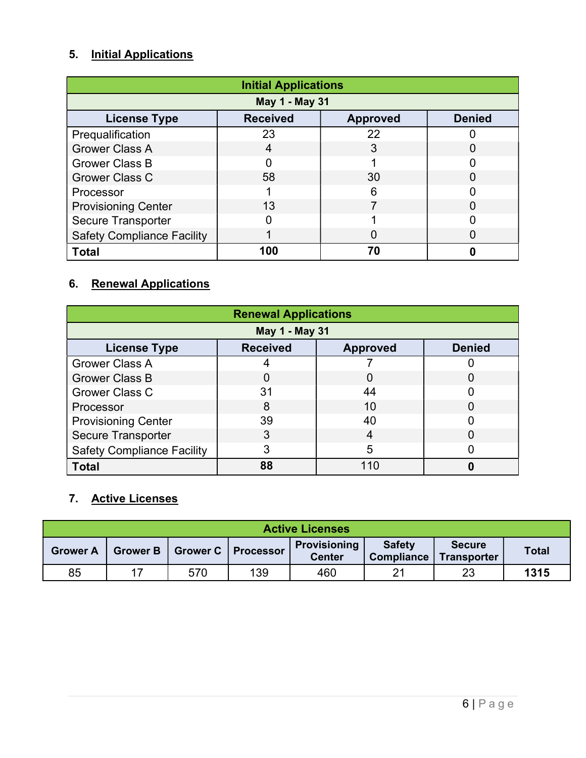## 5. Initial Applications

| <b>Initial Applications</b>                                                |     |    |  |  |  |
|----------------------------------------------------------------------------|-----|----|--|--|--|
| May 1 - May 31                                                             |     |    |  |  |  |
| <b>Received</b><br><b>Denied</b><br><b>License Type</b><br><b>Approved</b> |     |    |  |  |  |
| Prequalification                                                           | 23  | 22 |  |  |  |
| <b>Grower Class A</b>                                                      |     | 3  |  |  |  |
| <b>Grower Class B</b>                                                      |     |    |  |  |  |
| <b>Grower Class C</b>                                                      | 58  | 30 |  |  |  |
| Processor                                                                  |     | 6  |  |  |  |
| <b>Provisioning Center</b>                                                 | 13  |    |  |  |  |
| <b>Secure Transporter</b>                                                  |     |    |  |  |  |
| <b>Safety Compliance Facility</b>                                          |     |    |  |  |  |
| <b>Total</b>                                                               | 100 | 70 |  |  |  |

#### 6. Renewal Applications

| <b>Renewal Applications</b>                                                |    |          |        |  |  |
|----------------------------------------------------------------------------|----|----------|--------|--|--|
| May 1 - May 31                                                             |    |          |        |  |  |
| <b>Received</b><br><b>Denied</b><br><b>License Type</b><br><b>Approved</b> |    |          |        |  |  |
| <b>Grower Class A</b>                                                      |    |          |        |  |  |
| <b>Grower Class B</b>                                                      |    | $\Omega$ | 0      |  |  |
| Grower Class C                                                             | 31 | 44       |        |  |  |
| Processor                                                                  | 8  | 10       | $\Box$ |  |  |
| <b>Provisioning Center</b>                                                 | 39 | 40       |        |  |  |
| <b>Secure Transporter</b>                                                  | 3  | 4        | O      |  |  |
| <b>Safety Compliance Facility</b>                                          | 3  | 5        |        |  |  |
| <b>Total</b>                                                               | 88 | 110      |        |  |  |

#### 7. Active Licenses

| <b>Active Licenses</b> |                 |     |                      |                               |                                    |                                     |              |  |
|------------------------|-----------------|-----|----------------------|-------------------------------|------------------------------------|-------------------------------------|--------------|--|
| <b>Grower A</b>        | <b>Grower B</b> |     | Grower C   Processor | Provisioning<br><b>Center</b> | <b>Safety</b><br><b>Compliance</b> | <b>Secure</b><br><b>Transporter</b> | <b>Total</b> |  |
| 85                     |                 | 570 | 139                  | 460                           | 21                                 | 23                                  | 1315         |  |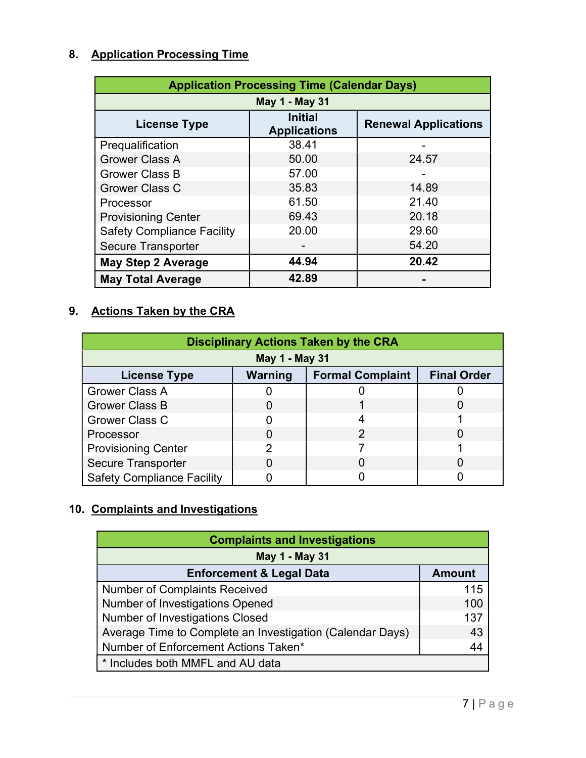## 8. Application Processing Time

| <b>Application Processing Time (Calendar Days)</b> |                                       |                             |  |  |  |  |
|----------------------------------------------------|---------------------------------------|-----------------------------|--|--|--|--|
| May 1 - May 31                                     |                                       |                             |  |  |  |  |
| <b>License Type</b>                                | <b>Initial</b><br><b>Applications</b> | <b>Renewal Applications</b> |  |  |  |  |
| Prequalification                                   | 38.41                                 |                             |  |  |  |  |
| <b>Grower Class A</b>                              | 50.00                                 | 24.57                       |  |  |  |  |
| <b>Grower Class B</b>                              | 57.00                                 |                             |  |  |  |  |
| <b>Grower Class C</b>                              | 35.83                                 | 14.89                       |  |  |  |  |
| Processor                                          | 61.50                                 | 21.40                       |  |  |  |  |
| <b>Provisioning Center</b>                         | 69.43                                 | 20.18                       |  |  |  |  |
| <b>Safety Compliance Facility</b>                  | 20.00                                 | 29.60                       |  |  |  |  |
| <b>Secure Transporter</b>                          |                                       | 54.20                       |  |  |  |  |
| <b>May Step 2 Average</b>                          | 44.94                                 | 20.42                       |  |  |  |  |
| <b>May Total Average</b>                           | 42.89                                 |                             |  |  |  |  |

#### 9. Actions Taken by the CRA

| <b>Disciplinary Actions Taken by the CRA</b>                                    |   |   |  |  |  |  |
|---------------------------------------------------------------------------------|---|---|--|--|--|--|
| May 1 - May 31                                                                  |   |   |  |  |  |  |
| <b>Final Order</b><br>Warning<br><b>Formal Complaint</b><br><b>License Type</b> |   |   |  |  |  |  |
| <b>Grower Class A</b>                                                           |   |   |  |  |  |  |
| <b>Grower Class B</b>                                                           |   |   |  |  |  |  |
| <b>Grower Class C</b>                                                           |   |   |  |  |  |  |
| Processor                                                                       |   | 2 |  |  |  |  |
| <b>Provisioning Center</b>                                                      | 2 |   |  |  |  |  |
| <b>Secure Transporter</b>                                                       |   |   |  |  |  |  |
| <b>Safety Compliance Facility</b>                                               |   |   |  |  |  |  |

## 10. Complaints and Investigations

| <b>Complaints and Investigations</b>                      |               |  |  |  |
|-----------------------------------------------------------|---------------|--|--|--|
| May 1 - May 31                                            |               |  |  |  |
| <b>Enforcement &amp; Legal Data</b>                       | <b>Amount</b> |  |  |  |
| <b>Number of Complaints Received</b>                      | 115           |  |  |  |
| Number of Investigations Opened                           | 100           |  |  |  |
| <b>Number of Investigations Closed</b>                    | 137           |  |  |  |
| Average Time to Complete an Investigation (Calendar Days) | 43            |  |  |  |
| Number of Enforcement Actions Taken*                      | 44            |  |  |  |
| * Includes both MMFL and AU data                          |               |  |  |  |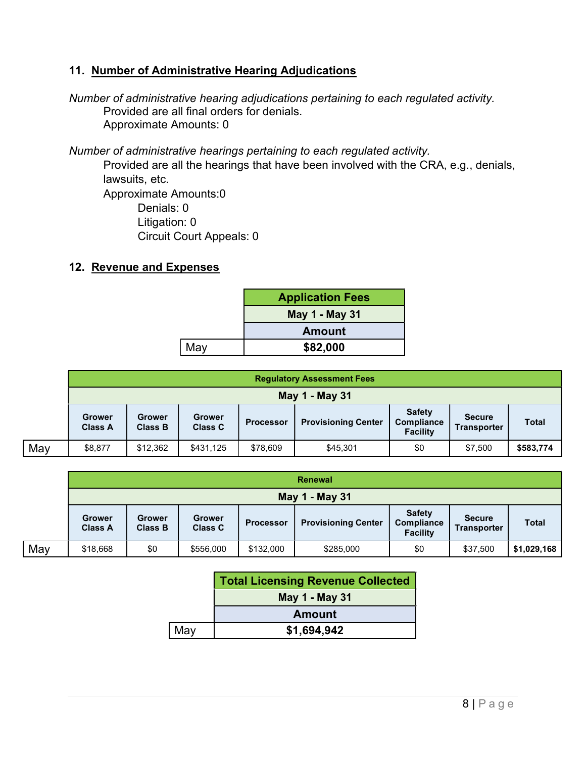#### 11. Number of Administrative Hearing Adjudications

Number of administrative hearing adjudications pertaining to each regulated activity. Provided are all final orders for denials. Approximate Amounts: 0

Number of administrative hearings pertaining to each regulated activity.

Provided are all the hearings that have been involved with the CRA, e.g., denials, lawsuits, etc. Approximate Amounts:0 Denials: 0 Litigation: 0

Circuit Court Appeals: 0

#### 12. Revenue and Expenses

|     | <b>Application Fees</b> |  |  |
|-----|-------------------------|--|--|
|     | May 1 - May 31          |  |  |
|     | <b>Amount</b>           |  |  |
| May | \$82,000                |  |  |

|     | <b>Regulatory Assessment Fees</b> |                                 |                                 |                  |                            |                                                       |                                     |              |
|-----|-----------------------------------|---------------------------------|---------------------------------|------------------|----------------------------|-------------------------------------------------------|-------------------------------------|--------------|
|     | May 1 - May 31                    |                                 |                                 |                  |                            |                                                       |                                     |              |
|     | <b>Grower</b><br><b>Class A</b>   | <b>Grower</b><br><b>Class B</b> | <b>Grower</b><br><b>Class C</b> | <b>Processor</b> | <b>Provisioning Center</b> | <b>Safety</b><br><b>Compliance</b><br><b>Facility</b> | <b>Secure</b><br><b>Transporter</b> | <b>Total</b> |
| May | \$8,877                           | \$12,362                        | \$431,125                       | \$78,609         | \$45,301                   | \$0                                                   | \$7,500                             | \$583,774    |

|     |                          | Renewal                  |                                 |                  |                            |                                                |                                     |              |
|-----|--------------------------|--------------------------|---------------------------------|------------------|----------------------------|------------------------------------------------|-------------------------------------|--------------|
|     | May 1 - May 31           |                          |                                 |                  |                            |                                                |                                     |              |
|     | Grower<br><b>Class A</b> | Grower<br><b>Class B</b> | <b>Grower</b><br><b>Class C</b> | <b>Processor</b> | <b>Provisioning Center</b> | <b>Safety</b><br>Compliance<br><b>Facility</b> | <b>Secure</b><br><b>Transporter</b> | <b>Total</b> |
| May | \$18,668                 | \$0                      | \$556,000                       | \$132,000        | \$285,000                  | \$0                                            | \$37,500                            | \$1,029,168  |

|                | <b>Total Licensing Revenue Collected</b> |  |  |  |
|----------------|------------------------------------------|--|--|--|
| May 1 - May 31 |                                          |  |  |  |
|                | <b>Amount</b>                            |  |  |  |
| May            | \$1,694,942                              |  |  |  |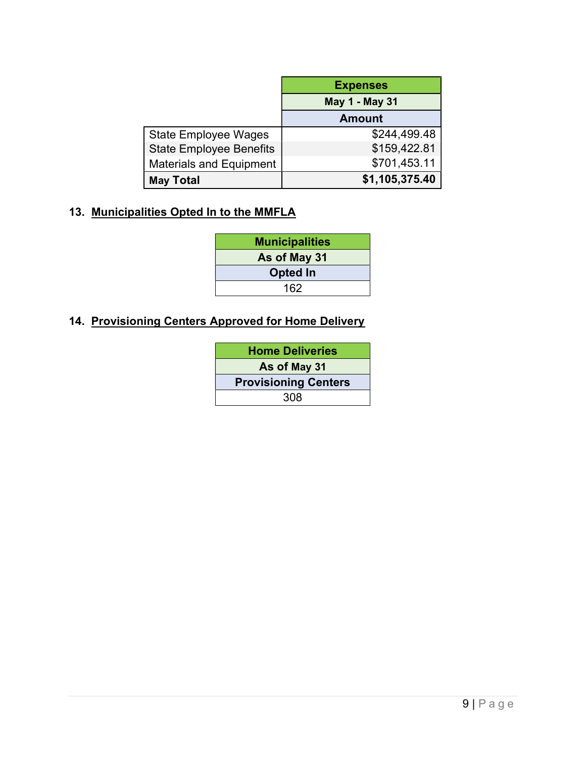|                                | <b>Expenses</b> |
|--------------------------------|-----------------|
|                                | May 1 - May 31  |
|                                | <b>Amount</b>   |
| <b>State Employee Wages</b>    | \$244,499.48    |
| <b>State Employee Benefits</b> | \$159,422.81    |
| <b>Materials and Equipment</b> | \$701,453.11    |
| <b>May Total</b>               | \$1,105,375.40  |

#### 13. Municipalities Opted In to the MMFLA

| <b>Municipalities</b> |
|-----------------------|
| As of May 31          |
| <b>Opted In</b>       |
| 162                   |
|                       |

#### 14. Provisioning Centers Approved for Home Delivery

| <b>Home Deliveries</b>      |  |  |
|-----------------------------|--|--|
| As of May 31                |  |  |
| <b>Provisioning Centers</b> |  |  |
| 308                         |  |  |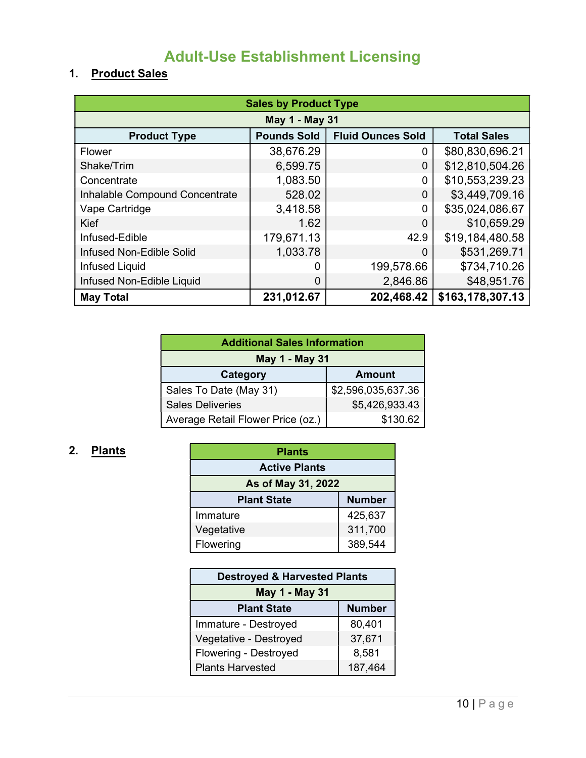# Adult-Use Establishment Licensing

### 1. Product Sales

| <b>Sales by Product Type</b>   |                                                                      |              |                  |  |  |  |
|--------------------------------|----------------------------------------------------------------------|--------------|------------------|--|--|--|
| May 1 - May 31                 |                                                                      |              |                  |  |  |  |
| <b>Product Type</b>            | <b>Fluid Ounces Sold</b><br><b>Pounds Sold</b><br><b>Total Sales</b> |              |                  |  |  |  |
| Flower                         | 38,676.29                                                            | 0            | \$80,830,696.21  |  |  |  |
| Shake/Trim                     | 6,599.75                                                             | 0            | \$12,810,504.26  |  |  |  |
| Concentrate                    | 1,083.50                                                             | 0            | \$10,553,239.23  |  |  |  |
| Inhalable Compound Concentrate | 528.02                                                               | 0            | \$3,449,709.16   |  |  |  |
| Vape Cartridge                 | 3,418.58                                                             | $\mathbf{0}$ | \$35,024,086.67  |  |  |  |
| Kief                           | 1.62                                                                 | 0            | \$10,659.29      |  |  |  |
| Infused-Edible                 | 179,671.13                                                           | 42.9         | \$19,184,480.58  |  |  |  |
| Infused Non-Edible Solid       | 1,033.78                                                             | 0            | \$531,269.71     |  |  |  |
| <b>Infused Liquid</b>          | 0                                                                    | 199,578.66   | \$734,710.26     |  |  |  |
| Infused Non-Edible Liquid      | $\Omega$                                                             | 2,846.86     | \$48,951.76      |  |  |  |
| <b>May Total</b>               | 231,012.67                                                           | 202,468.42   | \$163,178,307.13 |  |  |  |

| <b>Additional Sales Information</b>           |                    |  |  |
|-----------------------------------------------|--------------------|--|--|
| May 1 - May 31                                |                    |  |  |
| <b>Category</b><br><b>Amount</b>              |                    |  |  |
| Sales To Date (May 31)                        | \$2,596,035,637.36 |  |  |
| \$5,426,933.43<br><b>Sales Deliveries</b>     |                    |  |  |
| \$130.62<br>Average Retail Flower Price (oz.) |                    |  |  |

## 2. Plants

| <b>Plants</b>                       |  |  |  |  |
|-------------------------------------|--|--|--|--|
| <b>Active Plants</b>                |  |  |  |  |
| As of May 31, 2022                  |  |  |  |  |
| <b>Number</b><br><b>Plant State</b> |  |  |  |  |
| 425,637<br>Immature                 |  |  |  |  |
| 311,700<br>Vegetative               |  |  |  |  |
| 389,544<br>Flowering                |  |  |  |  |

| <b>Destroyed &amp; Harvested Plants</b> |        |  |  |  |
|-----------------------------------------|--------|--|--|--|
| May 1 - May 31                          |        |  |  |  |
| <b>Number</b><br><b>Plant State</b>     |        |  |  |  |
| Immature - Destroyed                    | 80,401 |  |  |  |
| Vegetative - Destroyed<br>37,671        |        |  |  |  |
| Flowering - Destroyed<br>8,581          |        |  |  |  |
| 187,464<br><b>Plants Harvested</b>      |        |  |  |  |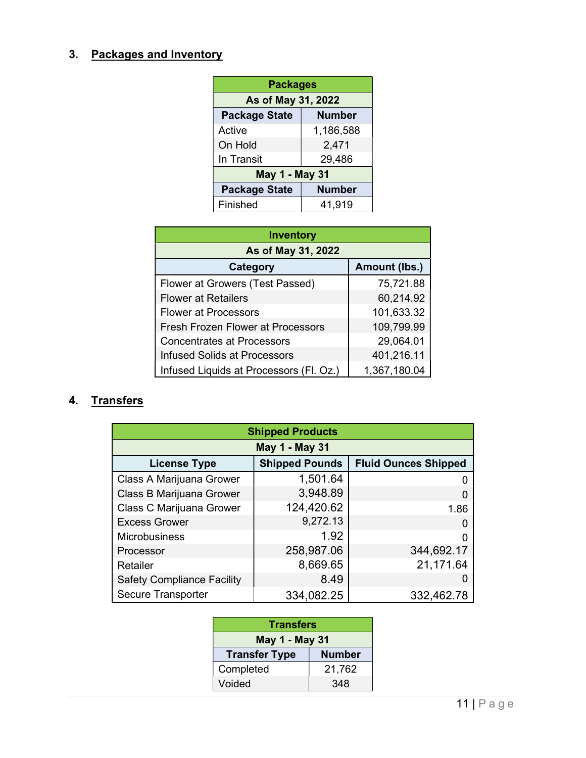#### 3. Packages and Inventory

| <b>Packages</b>                       |               |  |  |
|---------------------------------------|---------------|--|--|
| As of May 31, 2022                    |               |  |  |
| <b>Package State</b><br><b>Number</b> |               |  |  |
| Active                                | 1,186,588     |  |  |
| On Hold<br>2,471                      |               |  |  |
| In Transit<br>29,486                  |               |  |  |
| May 1 - May 31                        |               |  |  |
| <b>Package State</b>                  | <b>Number</b> |  |  |
| Finished                              | 41,919        |  |  |

| <b>Inventory</b>                         |              |  |  |  |
|------------------------------------------|--------------|--|--|--|
| As of May 31, 2022                       |              |  |  |  |
| Amount (lbs.)<br><b>Category</b>         |              |  |  |  |
| Flower at Growers (Test Passed)          | 75,721.88    |  |  |  |
| <b>Flower at Retailers</b>               | 60,214.92    |  |  |  |
| <b>Flower at Processors</b>              | 101,633.32   |  |  |  |
| <b>Fresh Frozen Flower at Processors</b> | 109,799.99   |  |  |  |
| <b>Concentrates at Processors</b>        | 29,064.01    |  |  |  |
| <b>Infused Solids at Processors</b>      | 401,216.11   |  |  |  |
| Infused Liquids at Processors (Fl. Oz.)  | 1,367,180.04 |  |  |  |

#### 4. Transfers

| <b>Shipped Products</b>           |                       |                             |  |
|-----------------------------------|-----------------------|-----------------------------|--|
| May 1 - May 31                    |                       |                             |  |
| <b>License Type</b>               | <b>Shipped Pounds</b> | <b>Fluid Ounces Shipped</b> |  |
| Class A Marijuana Grower          | 1,501.64              |                             |  |
| Class B Marijuana Grower          | 3,948.89              |                             |  |
| Class C Marijuana Grower          | 124,420.62            | 1.86                        |  |
| <b>Excess Grower</b>              | 9,272.13              |                             |  |
| <b>Microbusiness</b>              | 1.92                  |                             |  |
| Processor                         | 258,987.06            | 344,692.17                  |  |
| Retailer                          | 8,669.65              | 21,171.64                   |  |
| <b>Safety Compliance Facility</b> | 8.49                  |                             |  |
| Secure Transporter                | 334,082.25            | 332,462.78                  |  |

| <b>Transfers</b>                      |  |  |  |
|---------------------------------------|--|--|--|
| May 1 - May 31                        |  |  |  |
| <b>Number</b><br><b>Transfer Type</b> |  |  |  |
| Completed<br>21,762                   |  |  |  |
| Voided<br>348                         |  |  |  |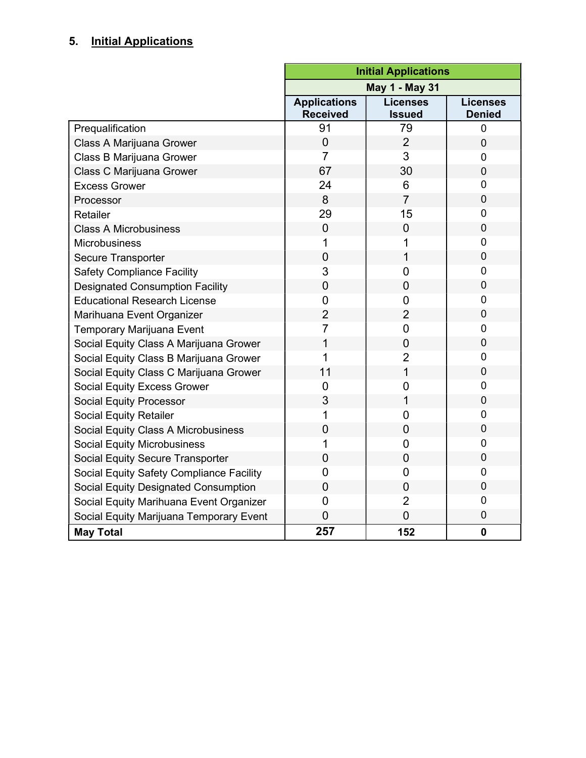## 5. Initial Applications

|                                             | <b>Initial Applications</b>            |                                  |                                  |  |
|---------------------------------------------|----------------------------------------|----------------------------------|----------------------------------|--|
|                                             | <b>May 1 - May 31</b>                  |                                  |                                  |  |
|                                             | <b>Applications</b><br><b>Received</b> | <b>Licenses</b><br><b>Issued</b> | <b>Licenses</b><br><b>Denied</b> |  |
| Prequalification                            | 91                                     | 79                               | $\overline{0}$                   |  |
| Class A Marijuana Grower                    | $\overline{0}$                         | $\overline{2}$                   | $\overline{0}$                   |  |
| Class B Marijuana Grower                    | $\overline{7}$                         | 3                                | $\overline{0}$                   |  |
| Class C Marijuana Grower                    | 67                                     | 30                               | $\mathbf 0$                      |  |
| <b>Excess Grower</b>                        | 24                                     | 6                                | 0                                |  |
| Processor                                   | 8                                      | $\overline{7}$                   | $\overline{0}$                   |  |
| Retailer                                    | 29                                     | 15                               | 0                                |  |
| <b>Class A Microbusiness</b>                | $\overline{0}$                         | $\overline{0}$                   | $\mathbf 0$                      |  |
| Microbusiness                               | 1                                      | 1                                | 0                                |  |
| Secure Transporter                          | $\overline{0}$                         | 1                                | $\mathbf 0$                      |  |
| <b>Safety Compliance Facility</b>           | 3                                      | 0                                | 0                                |  |
| <b>Designated Consumption Facility</b>      | $\overline{0}$                         | $\overline{0}$                   | $\overline{0}$                   |  |
| <b>Educational Research License</b>         | 0                                      | $\overline{0}$                   | 0                                |  |
| Marihuana Event Organizer                   | $\overline{2}$                         | $\overline{2}$                   | $\overline{0}$                   |  |
| <b>Temporary Marijuana Event</b>            | $\overline{7}$                         | 0                                | 0                                |  |
| Social Equity Class A Marijuana Grower      | 1                                      | $\overline{0}$                   | $\overline{0}$                   |  |
| Social Equity Class B Marijuana Grower      | 1                                      | $\overline{2}$                   | $\mathbf 0$                      |  |
| Social Equity Class C Marijuana Grower      | 11                                     | $\mathbf 1$                      | $\mathbf 0$                      |  |
| <b>Social Equity Excess Grower</b>          | $\overline{0}$                         | 0                                | $\mathbf 0$                      |  |
| <b>Social Equity Processor</b>              | 3                                      | $\mathbf 1$                      | $\mathbf 0$                      |  |
| <b>Social Equity Retailer</b>               | 1                                      | $\overline{0}$                   | $\overline{0}$                   |  |
| Social Equity Class A Microbusiness         | 0                                      | $\overline{0}$                   | $\overline{0}$                   |  |
| <b>Social Equity Microbusiness</b>          | 1                                      | 0                                | $\overline{0}$                   |  |
| Social Equity Secure Transporter            | $\overline{0}$                         | $\mathbf 0$                      | $\overline{0}$                   |  |
| Social Equity Safety Compliance Facility    | 0                                      | 0                                | $\overline{0}$                   |  |
| <b>Social Equity Designated Consumption</b> | 0                                      | 0                                | $\overline{0}$                   |  |
| Social Equity Marihuana Event Organizer     | $\overline{0}$                         | $\overline{2}$                   | $\mathbf 0$                      |  |
| Social Equity Marijuana Temporary Event     | $\overline{0}$                         | $\overline{0}$                   | $\mathbf 0$                      |  |
| <b>May Total</b>                            | 257                                    | 152                              | $\mathbf 0$                      |  |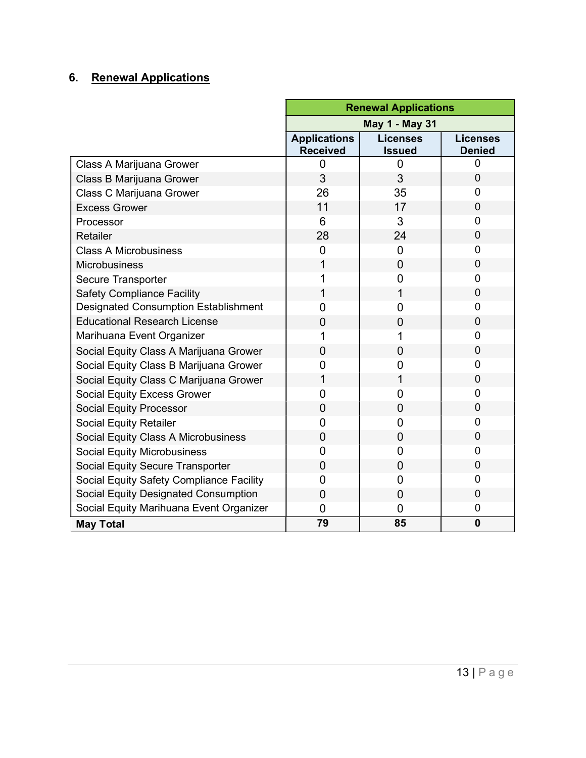## 6. Renewal Applications

|                                             | <b>Renewal Applications</b>            |                                  |                                  |
|---------------------------------------------|----------------------------------------|----------------------------------|----------------------------------|
|                                             | <b>May 1 - May 31</b>                  |                                  |                                  |
|                                             | <b>Applications</b><br><b>Received</b> | <b>Licenses</b><br><b>Issued</b> | <b>Licenses</b><br><b>Denied</b> |
| Class A Marijuana Grower                    | 0                                      | 0                                | 0                                |
| Class B Marijuana Grower                    | 3                                      | 3                                | $\overline{0}$                   |
| Class C Marijuana Grower                    | 26                                     | 35                               | 0                                |
| <b>Excess Grower</b>                        | 11                                     | 17                               | $\overline{0}$                   |
| Processor                                   | 6                                      | 3                                | $\overline{0}$                   |
| Retailer                                    | 28                                     | 24                               | $\overline{0}$                   |
| <b>Class A Microbusiness</b>                | 0                                      | 0                                | 0                                |
| <b>Microbusiness</b>                        | 1                                      | $\overline{0}$                   | $\overline{0}$                   |
| Secure Transporter                          | 1                                      | 0                                | 0                                |
| <b>Safety Compliance Facility</b>           | 1                                      | 1                                | $\overline{0}$                   |
| <b>Designated Consumption Establishment</b> | $\overline{0}$                         | $\overline{0}$                   | $\overline{0}$                   |
| <b>Educational Research License</b>         | 0                                      | 0                                | 0                                |
| Marihuana Event Organizer                   | 1                                      |                                  | $\overline{0}$                   |
| Social Equity Class A Marijuana Grower      | $\overline{0}$                         | 0                                | $\overline{0}$                   |
| Social Equity Class B Marijuana Grower      | 0                                      | 0                                | 0                                |
| Social Equity Class C Marijuana Grower      | 1                                      | 1                                | $\overline{0}$                   |
| <b>Social Equity Excess Grower</b>          | 0                                      | 0                                | 0                                |
| <b>Social Equity Processor</b>              | 0                                      | 0                                | 0                                |
| <b>Social Equity Retailer</b>               | 0                                      | 0                                | 0                                |
| Social Equity Class A Microbusiness         | 0                                      | 0                                | 0                                |
| <b>Social Equity Microbusiness</b>          | $\overline{0}$                         | 0                                | 0                                |
| Social Equity Secure Transporter            | 0                                      | 0                                | 0                                |
| Social Equity Safety Compliance Facility    | 0                                      | 0                                | 0                                |
| Social Equity Designated Consumption        | $\overline{0}$                         | $\overline{0}$                   | $\mathbf 0$                      |
| Social Equity Marihuana Event Organizer     | 0                                      | 0                                | 0                                |
| <b>May Total</b>                            | 79                                     | 85                               | $\mathbf 0$                      |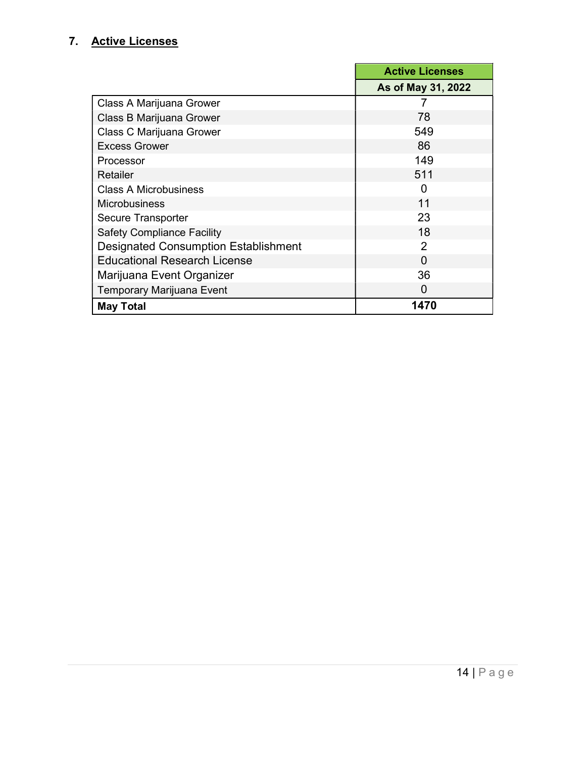#### 7. Active Licenses

|                                             | <b>Active Licenses</b> |
|---------------------------------------------|------------------------|
|                                             | As of May 31, 2022     |
| Class A Marijuana Grower                    |                        |
| Class B Marijuana Grower                    | 78                     |
| Class C Marijuana Grower                    | 549                    |
| <b>Excess Grower</b>                        | 86                     |
| Processor                                   | 149                    |
| Retailer                                    | 511                    |
| <b>Class A Microbusiness</b>                | n                      |
| Microbusiness                               | 11                     |
| Secure Transporter                          | 23                     |
| <b>Safety Compliance Facility</b>           | 18                     |
| <b>Designated Consumption Establishment</b> | $\mathcal{P}$          |
| <b>Educational Research License</b>         | ∩                      |
| Marijuana Event Organizer                   | 36                     |
| Temporary Marijuana Event                   | 0                      |
| <b>May Total</b>                            | 1470                   |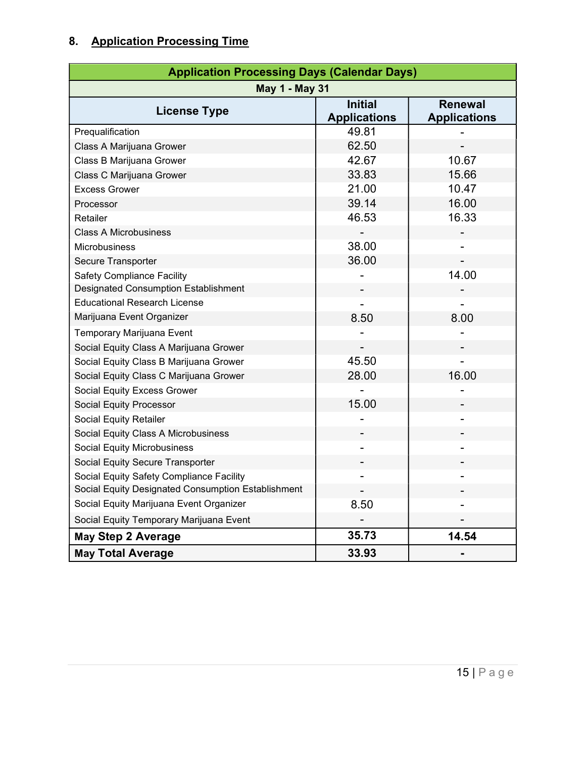## 8. Application Processing Time

| <b>Application Processing Days (Calendar Days)</b> |                                       |                                       |  |
|----------------------------------------------------|---------------------------------------|---------------------------------------|--|
| <b>May 1 - May 31</b>                              |                                       |                                       |  |
| <b>License Type</b>                                | <b>Initial</b><br><b>Applications</b> | <b>Renewal</b><br><b>Applications</b> |  |
| Prequalification                                   | 49.81                                 |                                       |  |
| Class A Marijuana Grower                           | 62.50                                 |                                       |  |
| Class B Marijuana Grower                           | 42.67                                 | 10.67                                 |  |
| Class C Marijuana Grower                           | 33.83                                 | 15.66                                 |  |
| <b>Excess Grower</b>                               | 21.00                                 | 10.47                                 |  |
| Processor                                          | 39.14                                 | 16.00                                 |  |
| Retailer                                           | 46.53                                 | 16.33                                 |  |
| <b>Class A Microbusiness</b>                       |                                       |                                       |  |
| <b>Microbusiness</b>                               | 38.00                                 |                                       |  |
| Secure Transporter                                 | 36.00                                 |                                       |  |
| <b>Safety Compliance Facility</b>                  |                                       | 14.00                                 |  |
| Designated Consumption Establishment               |                                       |                                       |  |
| <b>Educational Research License</b>                |                                       |                                       |  |
| Marijuana Event Organizer                          | 8.50                                  | 8.00                                  |  |
| Temporary Marijuana Event                          |                                       |                                       |  |
| Social Equity Class A Marijuana Grower             |                                       |                                       |  |
| Social Equity Class B Marijuana Grower             | 45.50                                 |                                       |  |
| Social Equity Class C Marijuana Grower             | 28.00                                 | 16.00                                 |  |
| Social Equity Excess Grower                        |                                       |                                       |  |
| Social Equity Processor                            | 15.00                                 |                                       |  |
| Social Equity Retailer                             |                                       |                                       |  |
| Social Equity Class A Microbusiness                |                                       |                                       |  |
| <b>Social Equity Microbusiness</b>                 |                                       |                                       |  |
| Social Equity Secure Transporter                   |                                       |                                       |  |
| Social Equity Safety Compliance Facility           |                                       |                                       |  |
| Social Equity Designated Consumption Establishment |                                       |                                       |  |
| Social Equity Marijuana Event Organizer            | 8.50                                  |                                       |  |
| Social Equity Temporary Marijuana Event            |                                       |                                       |  |
| <b>May Step 2 Average</b>                          | 35.73                                 | 14.54                                 |  |
| <b>May Total Average</b>                           | 33.93                                 |                                       |  |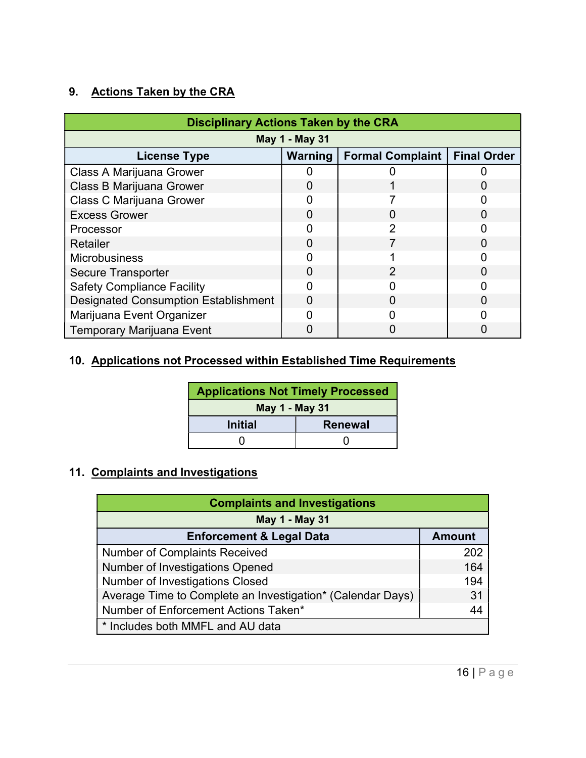#### 9. Actions Taken by the CRA

| <b>Disciplinary Actions Taken by the CRA</b> |         |                         |                    |  |
|----------------------------------------------|---------|-------------------------|--------------------|--|
| May 1 - May 31                               |         |                         |                    |  |
| <b>License Type</b>                          | Warning | <b>Formal Complaint</b> | <b>Final Order</b> |  |
| Class A Marijuana Grower                     |         |                         |                    |  |
| Class B Marijuana Grower                     |         |                         |                    |  |
| <b>Class C Marijuana Grower</b>              |         |                         |                    |  |
| <b>Excess Grower</b>                         |         |                         |                    |  |
| Processor                                    |         | 2                       |                    |  |
| <b>Retailer</b>                              |         |                         |                    |  |
| <b>Microbusiness</b>                         |         |                         |                    |  |
| <b>Secure Transporter</b>                    | 0       | $\mathcal{P}$           |                    |  |
| <b>Safety Compliance Facility</b>            |         |                         |                    |  |
| <b>Designated Consumption Establishment</b>  |         |                         |                    |  |
| Marijuana Event Organizer                    |         |                         |                    |  |
| <b>Temporary Marijuana Event</b>             |         |                         |                    |  |

#### 10. Applications not Processed within Established Time Requirements

| <b>Applications Not Timely Processed</b> |                |  |
|------------------------------------------|----------------|--|
| May 1 - May 31                           |                |  |
| <b>Initial</b>                           | <b>Renewal</b> |  |
|                                          |                |  |

#### 11. Complaints and Investigations

| <b>Complaints and Investigations</b>                       |               |  |  |  |
|------------------------------------------------------------|---------------|--|--|--|
| May 1 - May 31                                             |               |  |  |  |
| <b>Enforcement &amp; Legal Data</b>                        | <b>Amount</b> |  |  |  |
| <b>Number of Complaints Received</b>                       | 202           |  |  |  |
| Number of Investigations Opened                            | 164           |  |  |  |
| <b>Number of Investigations Closed</b>                     | 194           |  |  |  |
| Average Time to Complete an Investigation* (Calendar Days) | 31            |  |  |  |
| Number of Enforcement Actions Taken*                       | 44            |  |  |  |
| * Includes both MMFL and AU data                           |               |  |  |  |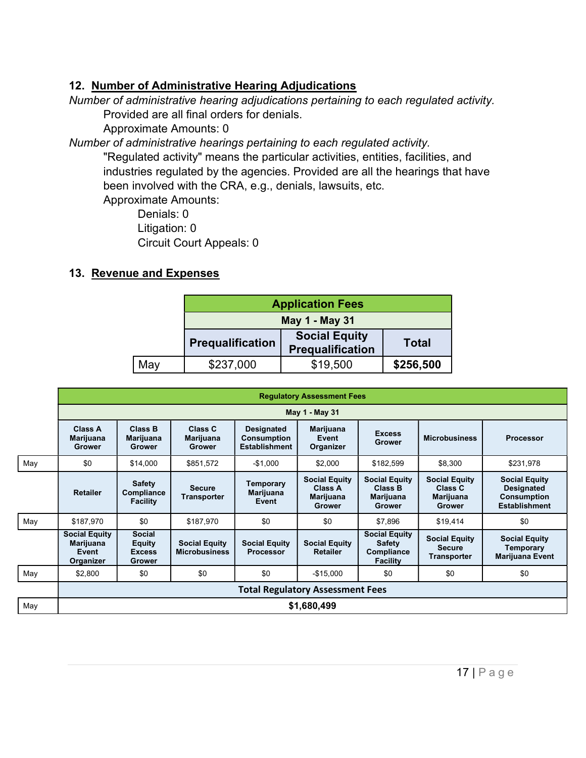#### 12. Number of Administrative Hearing Adjudications

Number of administrative hearing adjudications pertaining to each regulated activity. Provided are all final orders for denials.

Approximate Amounts: 0

Number of administrative hearings pertaining to each regulated activity.

"Regulated activity" means the particular activities, entities, facilities, and industries regulated by the agencies. Provided are all the hearings that have been involved with the CRA, e.g., denials, lawsuits, etc.

Approximate Amounts:

Denials: 0 Litigation: 0 Circuit Court Appeals: 0

#### 13. Revenue and Expenses

|     | <b>Application Fees</b> |                                                 |              |  |
|-----|-------------------------|-------------------------------------------------|--------------|--|
|     |                         | May 1 - May 31                                  |              |  |
|     | <b>Prequalification</b> | <b>Social Equity</b><br><b>Prequalification</b> | <b>Total</b> |  |
| May | \$237,000               | \$19,500                                        | \$256,500    |  |

|     | <b>Regulatory Assessment Fees</b>                              |                                                    |                                              |                                                                 |                                                               |                                                                        |                                                               |                                                                                         |
|-----|----------------------------------------------------------------|----------------------------------------------------|----------------------------------------------|-----------------------------------------------------------------|---------------------------------------------------------------|------------------------------------------------------------------------|---------------------------------------------------------------|-----------------------------------------------------------------------------------------|
|     |                                                                |                                                    |                                              |                                                                 | May 1 - May 31                                                |                                                                        |                                                               |                                                                                         |
|     | <b>Class A</b><br>Marijuana<br><b>Grower</b>                   | <b>Class B</b><br>Marijuana<br>Grower              | Class C<br>Marijuana<br><b>Grower</b>        | <b>Designated</b><br><b>Consumption</b><br><b>Establishment</b> | Marijuana<br>Event<br>Organizer                               | <b>Excess</b><br>Grower                                                | <b>Microbusiness</b>                                          | <b>Processor</b>                                                                        |
| May | \$0                                                            | \$14,000                                           | \$851,572                                    | $-$1,000$                                                       | \$2,000                                                       | \$182,599                                                              | \$8,300                                                       | \$231,978                                                                               |
|     | <b>Retailer</b>                                                | Safety<br>Compliance<br><b>Facility</b>            | <b>Secure</b><br><b>Transporter</b>          | Temporary<br>Marijuana<br>Event                                 | <b>Social Equity</b><br>Class A<br>Marijuana<br><b>Grower</b> | <b>Social Equity</b><br><b>Class B</b><br>Marijuana<br><b>Grower</b>   | <b>Social Equity</b><br>Class C<br>Marijuana<br><b>Grower</b> | <b>Social Equity</b><br><b>Designated</b><br><b>Consumption</b><br><b>Establishment</b> |
| May | \$187,970                                                      | \$0                                                | \$187,970                                    | \$0                                                             | \$0                                                           | \$7,896                                                                | \$19,414                                                      | \$0                                                                                     |
|     | <b>Social Equity</b><br><b>Marijuana</b><br>Event<br>Organizer | <b>Social</b><br>Equity<br><b>Excess</b><br>Grower | <b>Social Equity</b><br><b>Microbusiness</b> | <b>Social Equity</b><br><b>Processor</b>                        | <b>Social Equity</b><br><b>Retailer</b>                       | <b>Social Equity</b><br><b>Safety</b><br>Compliance<br><b>Facility</b> | <b>Social Equity</b><br><b>Secure</b><br><b>Transporter</b>   | <b>Social Equity</b><br>Temporary<br>Marijuana Event                                    |
| May | \$2,800                                                        | \$0                                                | \$0                                          | \$0                                                             | $-$15,000$                                                    | \$0                                                                    | \$0                                                           | \$0                                                                                     |
|     | <b>Total Regulatory Assessment Fees</b>                        |                                                    |                                              |                                                                 |                                                               |                                                                        |                                                               |                                                                                         |
| May | \$1,680,499                                                    |                                                    |                                              |                                                                 |                                                               |                                                                        |                                                               |                                                                                         |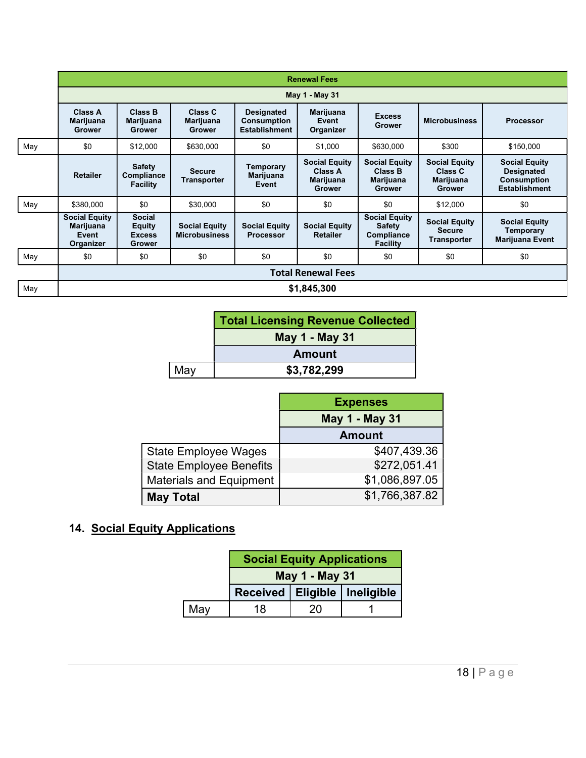|     |                                                         |                                                                  |                                              |                                                          | <b>Renewal Fees</b>                                                  |                                                                        |                                                               |                                                                                         |
|-----|---------------------------------------------------------|------------------------------------------------------------------|----------------------------------------------|----------------------------------------------------------|----------------------------------------------------------------------|------------------------------------------------------------------------|---------------------------------------------------------------|-----------------------------------------------------------------------------------------|
|     |                                                         |                                                                  |                                              |                                                          | May 1 - May 31                                                       |                                                                        |                                                               |                                                                                         |
|     | Class A<br><b>Marijuana</b><br>Grower                   | Class B<br><b>Marijuana</b><br><b>Grower</b>                     | Class C<br>Marijuana<br><b>Grower</b>        | <b>Designated</b><br><b>Consumption</b><br>Establishment | <b>Marijuana</b><br>Event<br>Organizer                               | <b>Excess</b><br><b>Grower</b>                                         | <b>Microbusiness</b>                                          | <b>Processor</b>                                                                        |
| May | \$0                                                     | \$12,000                                                         | \$630,000                                    | \$0                                                      | \$1,000                                                              | \$630,000                                                              | \$300                                                         | \$150,000                                                                               |
|     | <b>Retailer</b>                                         | <b>Safety</b><br>Compliance<br><b>Facility</b>                   | <b>Secure</b><br>Transporter                 | <b>Temporary</b><br>Marijuana<br>Event                   | <b>Social Equity</b><br>Class A<br><b>Marijuana</b><br><b>Grower</b> | <b>Social Equity</b><br>Class B<br>Marijuana<br><b>Grower</b>          | <b>Social Equity</b><br>Class C<br>Marijuana<br><b>Grower</b> | <b>Social Equity</b><br><b>Designated</b><br><b>Consumption</b><br><b>Establishment</b> |
| May | \$380,000                                               | \$0                                                              | \$30,000                                     | \$0                                                      | \$0                                                                  | \$0                                                                    | \$12,000                                                      | \$0                                                                                     |
|     | <b>Social Equity</b><br>Marijuana<br>Event<br>Organizer | <b>Social</b><br><b>Equity</b><br><b>Excess</b><br><b>Grower</b> | <b>Social Equity</b><br><b>Microbusiness</b> | <b>Social Equity</b><br><b>Processor</b>                 | <b>Social Equity</b><br><b>Retailer</b>                              | <b>Social Equity</b><br><b>Safety</b><br>Compliance<br><b>Facility</b> | <b>Social Equity</b><br><b>Secure</b><br><b>Transporter</b>   | <b>Social Equity</b><br>Temporary<br>Marijuana Event                                    |
| May | \$0                                                     | \$0                                                              | \$0                                          | \$0                                                      | \$0                                                                  | \$0                                                                    | \$0                                                           | \$0                                                                                     |
|     | <b>Total Renewal Fees</b>                               |                                                                  |                                              |                                                          |                                                                      |                                                                        |                                                               |                                                                                         |
| May | \$1,845,300                                             |                                                                  |                                              |                                                          |                                                                      |                                                                        |                                                               |                                                                                         |

|     | <b>Total Licensing Revenue Collected</b> |
|-----|------------------------------------------|
|     | May 1 - May 31                           |
|     | <b>Amount</b>                            |
| May | \$3,782,299                              |

|                                | <b>Expenses</b> |
|--------------------------------|-----------------|
|                                | May 1 - May 31  |
|                                | <b>Amount</b>   |
| <b>State Employee Wages</b>    | \$407,439.36    |
| <b>State Employee Benefits</b> | \$272,051.41    |
| <b>Materials and Equipment</b> | \$1,086,897.05  |
| <b>May Total</b>               | \$1,766,387.82  |

## 14. Social Equity Applications

|     | <b>Social Equity Applications</b> |    |                                  |  |  |
|-----|-----------------------------------|----|----------------------------------|--|--|
|     | May 1 - May 31                    |    |                                  |  |  |
|     |                                   |    | Received   Eligible   Ineligible |  |  |
| May | 18                                | 20 |                                  |  |  |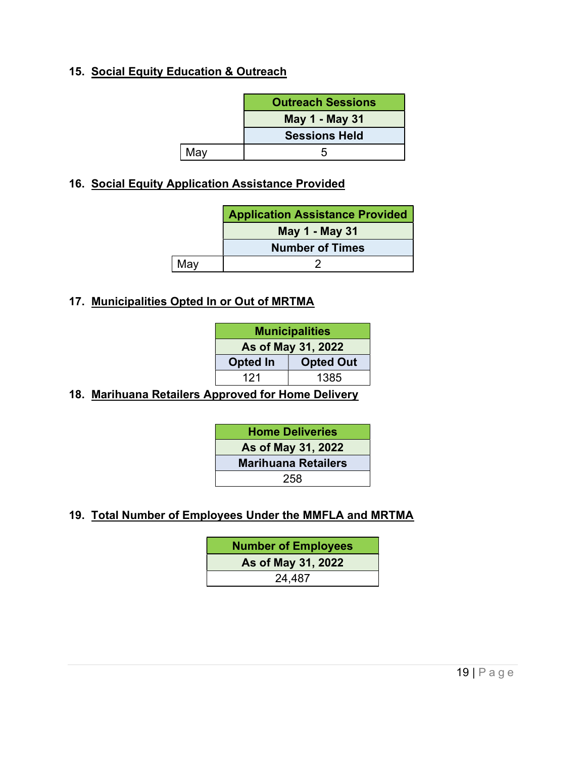#### 15. Social Equity Education & Outreach

|     | <b>Outreach Sessions</b> |
|-----|--------------------------|
|     | May 1 - May 31           |
|     | <b>Sessions Held</b>     |
| May |                          |

#### 16. Social Equity Application Assistance Provided

|     | <b>Application Assistance Provided</b> |
|-----|----------------------------------------|
|     | <b>May 1 - May 31</b>                  |
|     | <b>Number of Times</b>                 |
| May |                                        |

#### 17. Municipalities Opted In or Out of MRTMA

| <b>Municipalities</b> |                    |  |  |
|-----------------------|--------------------|--|--|
|                       | As of May 31, 2022 |  |  |
| <b>Opted In</b>       | <b>Opted Out</b>   |  |  |
| 121                   | 1385               |  |  |
|                       |                    |  |  |

18. Marihuana Retailers Approved for Home Delivery

| <b>Home Deliveries</b>     |
|----------------------------|
| As of May 31, 2022         |
| <b>Marihuana Retailers</b> |
| 258                        |

19. Total Number of Employees Under the MMFLA and MRTMA

Number of Employees As of May 31, 2022 24,487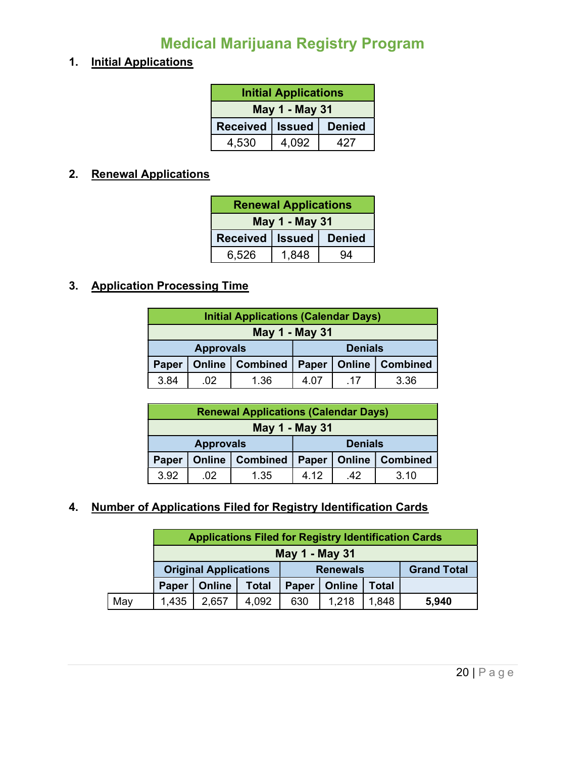## Medical Marijuana Registry Program

#### 1. Initial Applications

| <b>Initial Applications</b>        |              |  |  |  |
|------------------------------------|--------------|--|--|--|
| May 1 - May 31                     |              |  |  |  |
| Received   Issued<br><b>Denied</b> |              |  |  |  |
| 4,530                              | 4.092<br>427 |  |  |  |

#### 2. Renewal Applications

| <b>Renewal Applications</b> |  |               |  |
|-----------------------------|--|---------------|--|
| May 1 - May 31              |  |               |  |
| Received  <br><b>Issued</b> |  | <b>Denied</b> |  |
| 1,848<br>6,526<br>94        |  |               |  |

#### 3. Application Processing Time

| <b>Initial Applications (Calendar Days)</b>      |     |                |      |                   |      |
|--------------------------------------------------|-----|----------------|------|-------------------|------|
| May 1 - May 31                                   |     |                |      |                   |      |
| <b>Approvals</b>                                 |     | <b>Denials</b> |      |                   |      |
| <b>Combined</b><br><b>Online</b><br><b>Paper</b> |     | Paper          |      | Online   Combined |      |
| 3.84                                             | .02 | 1.36           | 4 07 | -17               | 3.36 |

| <b>Renewal Applications (Calendar Days)</b> |     |                |       |                   |      |
|---------------------------------------------|-----|----------------|-------|-------------------|------|
| May 1 - May 31                              |     |                |       |                   |      |
| <b>Approvals</b>                            |     | <b>Denials</b> |       |                   |      |
| <b>Online   Combined</b><br>Paper           |     | Paper          |       | Online   Combined |      |
| 3.92                                        | -02 | 1.35           | 4 1 2 | -42               | 3.10 |

#### 4. Number of Applications Filed for Registry Identification Cards

|     |                              | <b>Applications Filed for Registry Identification Cards</b> |                 |       |               |                    |       |
|-----|------------------------------|-------------------------------------------------------------|-----------------|-------|---------------|--------------------|-------|
|     | <b>May 1 - May 31</b>        |                                                             |                 |       |               |                    |       |
|     | <b>Original Applications</b> |                                                             | <b>Renewals</b> |       |               | <b>Grand Total</b> |       |
|     | Paper                        | <b>Online</b>                                               | <b>Total</b>    | Paper | <b>Online</b> | <b>Total</b>       |       |
| May | 1,435                        | 2,657                                                       | 4,092           | 630   | 1,218         | 1,848              | 5,940 |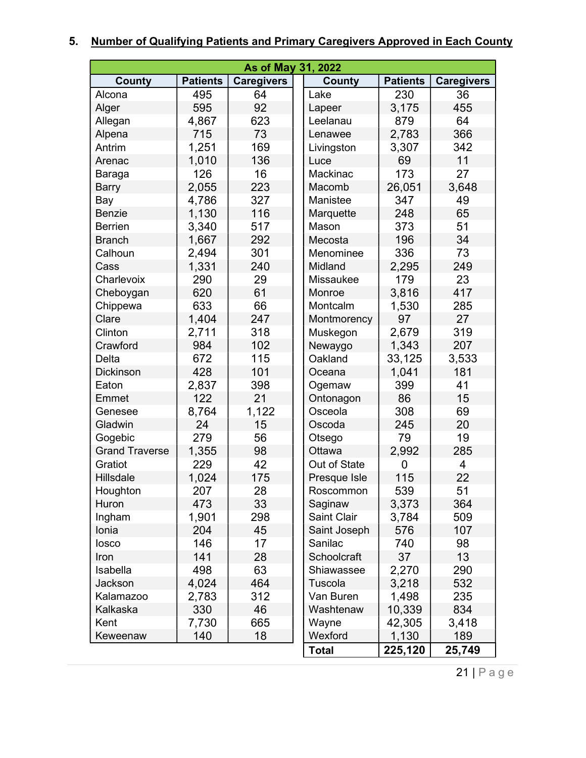# 5. Number of Qualifying Patients and Primary Caregivers Approved in Each County

| As of May 31, 2022    |                 |                   |                  |                 |                   |
|-----------------------|-----------------|-------------------|------------------|-----------------|-------------------|
| County                | <b>Patients</b> | <b>Caregivers</b> | County           | <b>Patients</b> | <b>Caregivers</b> |
| Alcona                | 495             | 64                | Lake             | 230             | 36                |
| Alger                 | 595             | 92                | Lapeer           | 3,175           | 455               |
| Allegan               | 4,867           | 623               | Leelanau         | 879             | 64                |
| Alpena                | 715             | 73                | Lenawee          | 2,783           | 366               |
| Antrim                | 1,251           | 169               | Livingston       | 3,307           | 342               |
| Arenac                | 1,010           | 136               | Luce             | 69              | 11                |
| Baraga                | 126             | 16                | Mackinac         | 173             | 27                |
| <b>Barry</b>          | 2,055           | 223               | Macomb           | 26,051          | 3,648             |
| Bay                   | 4,786           | 327               | Manistee         | 347             | 49                |
| <b>Benzie</b>         | 1,130           | 116               | Marquette        | 248             | 65                |
| <b>Berrien</b>        | 3,340           | 517               | Mason            | 373             | 51                |
| <b>Branch</b>         | 1,667           | 292               | Mecosta          | 196             | 34                |
| Calhoun               | 2,494           | 301               | Menominee        | 336             | 73                |
| Cass                  | 1,331           | 240               | Midland          | 2,295           | 249               |
| Charlevoix            | 290             | 29                | <b>Missaukee</b> | 179             | 23                |
| Cheboygan             | 620             | 61                | Monroe           | 3,816           | 417               |
| Chippewa              | 633             | 66                | Montcalm         | 1,530           | 285               |
| Clare                 | 1,404           | 247               | Montmorency      | 97              | 27                |
| Clinton               | 2,711           | 318               | Muskegon         | 2,679           | 319               |
| Crawford              | 984             | 102               | Newaygo          | 1,343           | 207               |
| Delta                 | 672             | 115               | Oakland          | 33,125          | 3,533             |
| <b>Dickinson</b>      | 428             | 101               | Oceana           | 1,041           | 181               |
| Eaton                 | 2,837           | 398               | Ogemaw           | 399             | 41                |
| Emmet                 | 122             | 21                | Ontonagon        | 86              | 15                |
| Genesee               | 8,764           | 1,122             | Osceola          | 308             | 69                |
| Gladwin               | 24              | 15                | Oscoda           | 245             | 20                |
| Gogebic               | 279             | 56                | Otsego           | 79              | 19                |
| <b>Grand Traverse</b> | 1,355           | 98                | Ottawa           | 2,992           | 285               |
| Gratiot               | 229             | 42                | Out of State     | 0               | $\overline{4}$    |
| <b>Hillsdale</b>      | 1,024           | 175               | Presque Isle     | 115             | 22                |
| Houghton              | 207             | 28                | Roscommon        | 539             | 51                |
| Huron                 | 473             | 33                | Saginaw          | 3,373           | 364               |
| Ingham                | 1,901           | 298               | Saint Clair      | 3,784           | 509               |
| Ionia                 | 204             | 45                | Saint Joseph     | 576             | 107               |
| losco                 | 146             | 17                | Sanilac          | 740             | 98                |
| Iron                  | 141             | 28                | Schoolcraft      | 37              | 13                |
| Isabella              | 498             | 63                | Shiawassee       | 2,270           | 290               |
| Jackson               | 4,024           | 464               | Tuscola          | 3,218           | 532               |
| Kalamazoo             | 2,783           | 312               | Van Buren        | 1,498           | 235               |
| Kalkaska              | 330             | 46                | Washtenaw        | 10,339          | 834               |
| Kent                  | 7,730           | 665               | Wayne            | 42,305          | 3,418             |
| Keweenaw              | 140             | 18                | Wexford          | 1,130           | 189               |
|                       |                 |                   | <b>Total</b>     | 225,120         | 25,749            |

21 | P a g e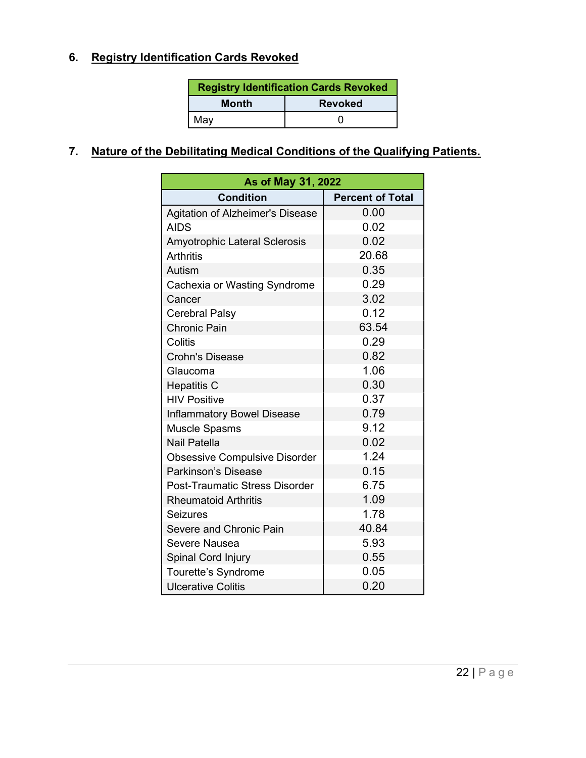#### 6. Registry Identification Cards Revoked

| <b>Registry Identification Cards Revoked</b> |  |  |
|----------------------------------------------|--|--|
| <b>Month</b><br><b>Revoked</b>               |  |  |
| May                                          |  |  |

#### 7. Nature of the Debilitating Medical Conditions of the Qualifying Patients.

| As of May 31, 2022                      |                         |  |  |  |
|-----------------------------------------|-------------------------|--|--|--|
| <b>Condition</b>                        | <b>Percent of Total</b> |  |  |  |
| <b>Agitation of Alzheimer's Disease</b> | 0.00                    |  |  |  |
| <b>AIDS</b>                             | 0.02                    |  |  |  |
| <b>Amyotrophic Lateral Sclerosis</b>    | 0.02                    |  |  |  |
| <b>Arthritis</b>                        | 20.68                   |  |  |  |
| Autism                                  | 0.35                    |  |  |  |
| Cachexia or Wasting Syndrome            | 0.29                    |  |  |  |
| Cancer                                  | 3.02                    |  |  |  |
| <b>Cerebral Palsy</b>                   | 0.12                    |  |  |  |
| <b>Chronic Pain</b>                     | 63.54                   |  |  |  |
| Colitis                                 | 0.29                    |  |  |  |
| <b>Crohn's Disease</b>                  | 0.82                    |  |  |  |
| Glaucoma                                | 1.06                    |  |  |  |
| <b>Hepatitis C</b>                      | 0.30                    |  |  |  |
| <b>HIV Positive</b>                     | 0.37                    |  |  |  |
| <b>Inflammatory Bowel Disease</b>       | 0.79                    |  |  |  |
| <b>Muscle Spasms</b>                    | 9.12                    |  |  |  |
| <b>Nail Patella</b>                     | 0.02                    |  |  |  |
| <b>Obsessive Compulsive Disorder</b>    | 1.24                    |  |  |  |
| Parkinson's Disease                     | 0.15                    |  |  |  |
| <b>Post-Traumatic Stress Disorder</b>   | 6.75                    |  |  |  |
| <b>Rheumatoid Arthritis</b>             | 1.09                    |  |  |  |
| <b>Seizures</b>                         | 1.78                    |  |  |  |
| Severe and Chronic Pain                 | 40.84                   |  |  |  |
| Severe Nausea                           | 5.93                    |  |  |  |
| Spinal Cord Injury                      | 0.55                    |  |  |  |
| Tourette's Syndrome                     | 0.05                    |  |  |  |
| <b>Ulcerative Colitis</b>               | 0.20                    |  |  |  |